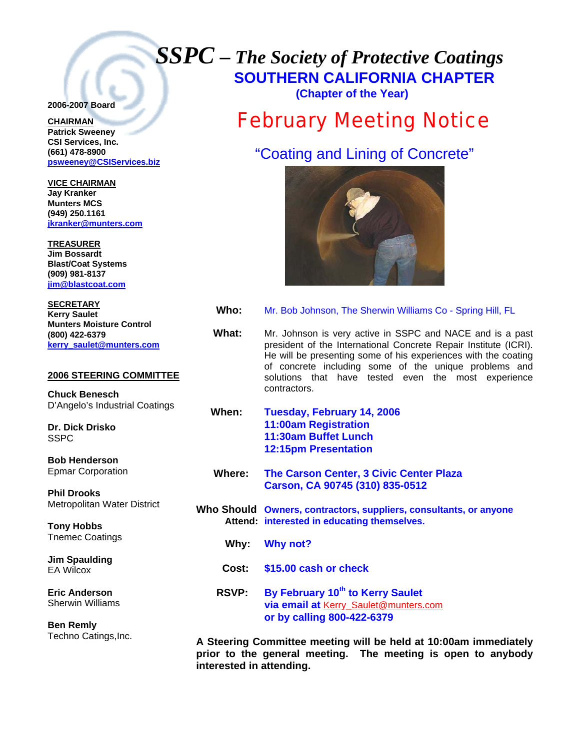# *SSPC – The Society of Protective Coatings* **SOUTHERN CALIFORNIA CHAPTER**

### **2006-2007 Board**

## **CHAIRMAN**

**Patrick Sweeney CSI Services, Inc. (661) 478-8900 psweeney@CSIServices.biz** 

**VICE CHAIRMAN Jay Kranker Munters MCS (949) 250.1161 [jkranker@munters.com](mailto:jkranker@munters.com)**

**TREASURER Jim Bossardt Blast/Coat Systems (909) 981-8137 [jim@blastcoat.com](mailto:jim@blastcoat.com)**

**SECRETARY Kerry Saulet Munters Moisture Control (800) 422-6379 [kerry\\_saulet@munters.com](mailto:jim@blastcoat.com)**

### **2006 STEERING COMMITTEE**

**Chuck Benesch**  D'Angelo's Industrial Coatings

**Dr. Dick Drisko**  SSPC

**Bob Henderson**  Epmar Corporation

**Phil Drooks**  Metropolitan Water District

**Tony Hobbs**  Tnemec Coatings

**Jim Spaulding**  EA Wilcox

**Eric Anderson**  Sherwin Williams

**Ben Remly** Techno Catings,Inc.  **(Chapter of the Year)** 

## February Meeting Notice

"Coating and Lining of Concrete"



- **Who:** Mr. Bob Johnson, The Sherwin Williams Co Spring Hill, FL
- **What:** Mr. Johnson is very active in SSPC and NACE and is a past president of the International Concrete Repair Institute (ICRI). He will be presenting some of his experiences with the coating of concrete including some of the unique problems and solutions that have tested even the most experience contractors.
- **When: Tuesday, February 14, 2006 11:00am Registration 11:30am Buffet Lunch 12:15pm Presentation**
- **Where: The Carson Center, 3 Civic Center Plaza Carson, CA 90745 (310) 835-0512**
- **Who Should Owners, contractors, suppliers, consultants, or anyone Attend: interested in educating themselves.** 
	- **Why: Why not?**
	- **Cost: \$15.00 cash or check**
	- **RSVP: By February 10th to Kerry Saulet via email at** [Kerry\\_Saulet@munters.com](mailto:Kerry_Saulet@munters.com) **or by calling 800-422-6379**

**A Steering Committee meeting will be held at 10:00am immediately prior to the general meeting. The meeting is open to anybody interested in attending.**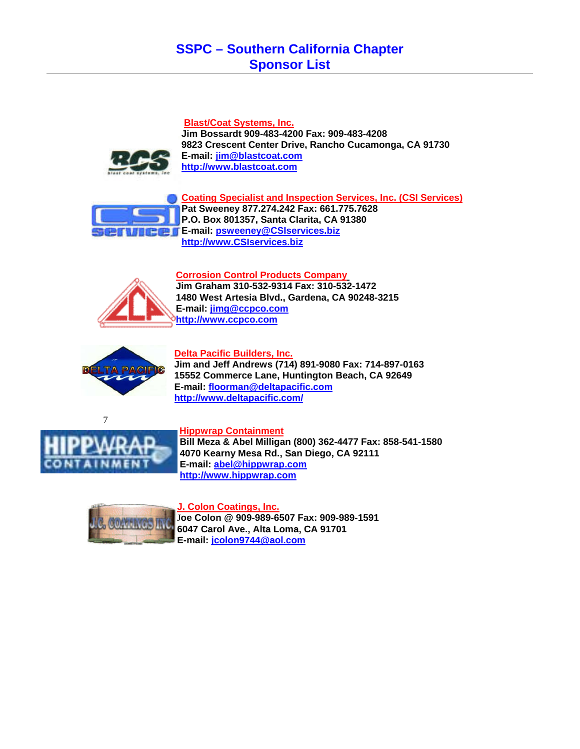## **SSPC – Southern California Chapter Sponsor List**

### **Blast/Coat Systems, Inc.**

**Jim Bossardt 909-483-4200 Fax: 909-483-4208 9823 Crescent Center Drive, Rancho Cucamonga, CA 91730 E-mail: [jim@blastcoat.com](mailto:jim@blastcoat.com) [http://www.blastcoat.com](http://www.blastcoat.com/)**



**Coating Specialist and Inspection Services, Inc. (CSI Services) Pat Sweeney 877.274.242 Fax: 661.775.7628 P.O. Box 801357, Santa Clarita, CA 91380 E-mail: [psweeney@CSIservices.biz](mailto:psweeney@CSIservices.biz) [http://www.CSIservices.biz](http://www.csiservices.biz/)**

**Corrosion Control Products Company**



**Jim Graham 310-532-9314 Fax: 310-532-1472 1480 West Artesia Blvd., Gardena, CA 90248-3215 E-mail: [jimg@ccpco.com](mailto:jimg@ccpco.com) [http://www.ccpco.com](http://www.ccpco.com/)**



### **Delta Pacific Builders, Inc.**

**Jim and Jeff Andrews (714) 891-9080 Fax: 714-897-0163 15552 Commerce Lane, Huntington Beach, CA 92649 E-mail: [floorman@deltapacific.com](mailto:floorman@deltapacific.com) <http://www.deltapacific.com/>**





**Hippwrap Containment**

 **Bill Meza & Abel Milligan (800) 362-4477 Fax: 858-541-1580 4070 Kearny Mesa Rd., San Diego, CA 92111 E-mail: [abel@hippwrap.com](mailto:abel@hippwrap.com) [http://www.hippwrap.com](http://www.hippwrap.com/)**



**J. Colon Coatings, Inc.**

J**oe Colon @ 909-989-6507 Fax: 909-989-1591 6047 Carol Ave., Alta Loma, CA 91701 E-mail: [jcolon9744@aol.com](mailto:jcolon9744@aol.com)**